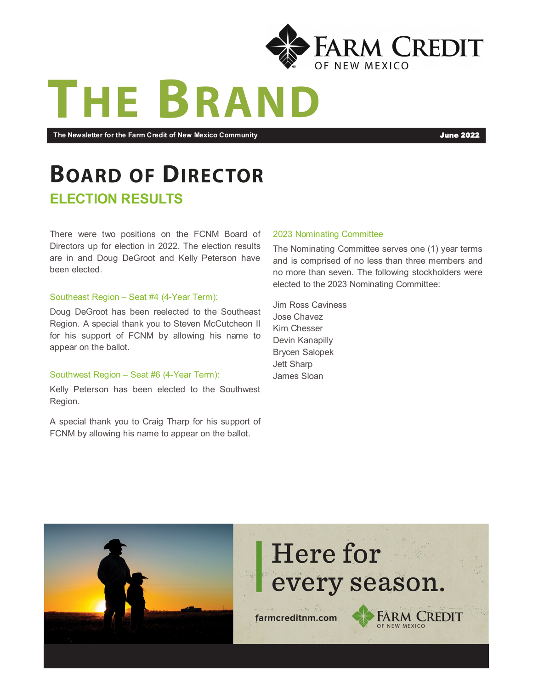

# THE BRAN

**The Newsletter for the Farm Credit of New Mexico Community** June 2022

# **BOARD OF DIRECTOR**

#### **ELECTION RESULTS**

There were two positions on the FCNM Board of Directors up for election in 2022. The election results are in and Doug DeGroot and Kelly Peterson have been elected.

#### Southeast Region – Seat #4 (4-Year Term):

Doug DeGroot has been reelected to the Southeast Region. A special thank you to Steven McCutcheon II for his support of FCNM by allowing his name to appear on the ballot.

#### Southwest Region – Seat #6 (4-Year Term):

Kelly Peterson has been elected to the Southwest Region.

A special thank you to Craig Tharp for his support of FCNM by allowing his name to appear on the ballot.

#### 2023 Nominating Committee

The Nominating Committee serves one (1) year terms and is comprised of no less than three members and no more than seven. The following stockholders were elected to the 2023 Nominating Committee:

Jim Ross Caviness Jose Chavez Kim Chesser Devin Kanapilly Brycen Salopek Jett Sharp James Sloan

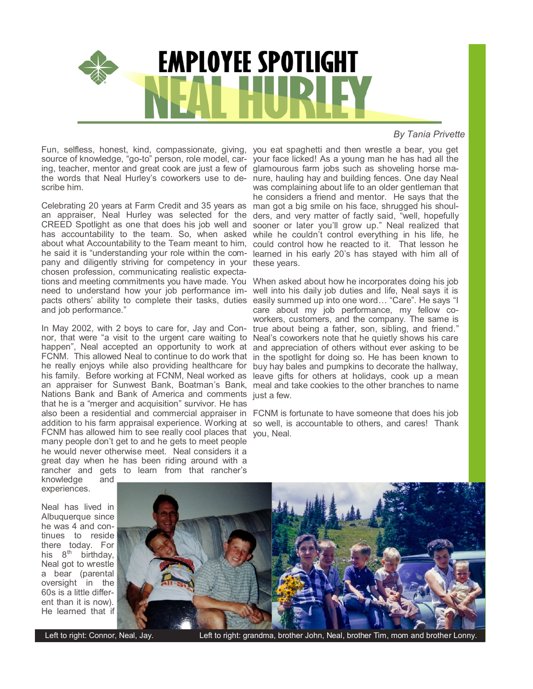

#### *By Tania Privette*

Fun, selfless, honest, kind, compassionate, giving, you eat spaghetti and then wrestle a bear, you get source of knowledge, "go-to" person, role model, car-your face licked! As a young man he has had all the ing, teacher, mentor and great cook are just a few of glamourous farm jobs such as shoveling horse mathe words that Neal Hurley's coworkers use to de-nure, hauling hay and building fences. One day Neal scribe him.

Celebrating 20 years at Farm Credit and 35 years as an appraiser, Neal Hurley was selected for the CREED Spotlight as one that does his job well and has accountability to the team. So, when asked about what Accountability to the Team meant to him, he said it is "understanding your role within the com-learned in his early 20's has stayed with him all of pany and diligently striving for competency in your these years. chosen profession, communicating realistic expectations and meeting commitments you have made. You When asked about how he incorporates doing his job need to understand how your job performance im-well into his daily job duties and life, Neal says it is pacts others' ability to complete their tasks, duties easily summed up into one word… "Care". He says "I and job performance."

In May 2002, with 2 boys to care for, Jay and Connor, that were "a visit to the urgent care waiting to happen", Neal accepted an opportunity to work at and appreciation of others without ever asking to be FCNM. This allowed Neal to continue to do work that in the spotlight for doing so. He has been known to he really enjoys while also providing healthcare for his family. Before working at FCNM, Neal worked as leave gifts for others at holidays, cook up a mean an appraiser for Sunwest Bank, Boatman's Bank, meal and take cookies to the other branches to name Nations Bank and Bank of America and comments just a few. that he is a "merger and acquisition" survivor. He has also been a residential and commercial appraiser in FCNM is fortunate to have someone that does his job addition to his farm appraisal experience. Working at so well, is accountable to others, and cares! Thank FCNM has allowed him to see really cool places that you, Neal. many people don't get to and he gets to meet people he would never otherwise meet. Neal considers it a great day when he has been riding around with a rancher and gets to learn from that rancher's

was complaining about life to an older gentleman that he considers a friend and mentor. He says that the man got a big smile on his face, shrugged his shoulders, and very matter of factly said, "well, hopefully sooner or later you'll grow up." Neal realized that while he couldn't control everything in his life, he could control how he reacted to it. That lesson he

care about my job performance, my fellow coworkers, customers, and the company. The same is true about being a father, son, sibling, and friend." Neal's coworkers note that he quietly shows his care buy hay bales and pumpkins to decorate the hallway,

knowledge and experiences.

Neal has lived in Albuquerque since he was 4 and continues to reside there today. For his  $8^{th}$  birthday, Neal got to wrestle a bear (parental oversight in the 60s is a little different than it is now). He learned that if



Left to right: Connor, Neal, Jay. Left to right: grandma, brother John, Neal, brother Tim, mom and brother Lonny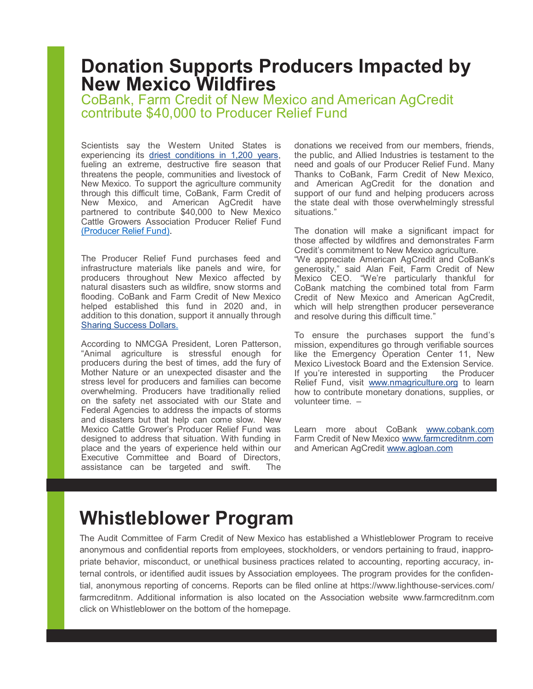### **Donation Supports Producers Impacted by New Mexico Wildfires**

CoBank, Farm Credit of New Mexico and American AgCredit contribute \$40,000 to Producer Relief Fund

Scientists say the Western United States is experiencing its [driest conditions in 1,200 years,](https://www.npr.org/2022/05/16/1098779996/new-mexico-wildfires-southwest-not-unprecedented) fueling an extreme, destructive fire season that threatens the people, communities and livestock of New Mexico. To support the agriculture community through this difficult time, CoBank, Farm Credit of New Mexico, and American AgCredit have partnered to contribute \$40,000 to [New Mexico](https://urldefense.com/v3/__https:/www.nmagriculture.org/__;!!F7mV_KfLrw!2_VgNNgY6MpPUeTSihu11XttPUbAurbbAia7bMsV16QBgHyCPMh-5sca6ZrbYNBuxvL02FfSpv6oxaQKSVhs9XMC$)  [Cattle Growers Association Producer Relief Fund](https://urldefense.com/v3/__https:/www.nmagriculture.org/__;!!F7mV_KfLrw!2_VgNNgY6MpPUeTSihu11XttPUbAurbbAia7bMsV16QBgHyCPMh-5sca6ZrbYNBuxvL02FfSpv6oxaQKSVhs9XMC$) (Producer Relief Fund).

The Producer Relief Fund purchases feed and infrastructure materials like panels and wire, for producers throughout New Mexico affected by natural disasters such as wildfire, snow storms and flooding. CoBank and Farm Credit of New Mexico helped established this fund in 2020 and, in addition to this donation, support it annually through **Sharing Success Dollars.** 

According to NMCGA President, Loren Patterson, "Animal agriculture is stressful enough for producers during the best of times, add the fury of Mother Nature or an unexpected disaster and the stress level for producers and families can become overwhelming. Producers have traditionally relied on the safety net associated with our State and Federal Agencies to address the impacts of storms and disasters but that help can come slow. New Mexico Cattle Grower's Producer Relief Fund was designed to address that situation. With funding in place and the years of experience held within our Executive Committee and Board of Directors, assistance can be targeted and swift. The

donations we received from our members, friends, the public, and Allied Industries is testament to the need and goals of our Producer Relief Fund. Many Thanks to CoBank, Farm Credit of New Mexico, and American AgCredit for the donation and support of our fund and helping producers across the state deal with those overwhelmingly stressful situations."

The donation will make a significant impact for those affected by wildfires and demonstrates Farm Credit's commitment to New Mexico agriculture. "We appreciate American AgCredit and CoBank's generosity," said Alan Feit, Farm Credit of New Mexico CEO. "We're particularly thankful for CoBank matching the combined total from Farm Credit of New Mexico and American AgCredit, which will help strengthen producer perseverance and resolve during this difficult time."

To ensure the purchases support the fund's mission, expenditures go through verifiable sources like the Emergency Operation Center 11, New Mexico Livestock Board and the Extension Service. If you're interested in supporting the Producer Relief Fund, visit [www.nmagriculture.org](https://urldefense.com/v3/__https:/www.nmagriculture.org/__;!!F7mV_KfLrw!2_VgNNgY6MpPUeTSihu11XttPUbAurbbAia7bMsV16QBgHyCPMh-5sca6ZrbYNBuxvL02FfSpv6oxaQKSVhs9XMC$) to learn how to contribute monetary donations, supplies, or volunteer time. –

Learn more about CoBank [www.cobank.com](https://urldefense.com/v3/__http:/www.cobank.com/__;!!F7mV_KfLrw!2_VgNNgY6MpPUeTSihu11XttPUbAurbbAia7bMsV16QBgHyCPMh-5sca6ZrbYNBuxvL02FfSpv6oxaQKSYvLA6Gn$) Farm Credit of New Mexico [www.farmcreditnm.com](https://farmcreditnm.com/) and American AgCredit [www.agloan.com](https://urldefense.com/v3/__http:/www.agloan.com/__;!!F7mV_KfLrw!2_VgNNgY6MpPUeTSihu11XttPUbAurbbAia7bMsV16QBgHyCPMh-5sca6ZrbYNBuxvL02FfSpv6oxaQKSffbo_Jn$)

# **Whistleblower Program**

The Audit Committee of Farm Credit of New Mexico has established a Whistleblower Program to receive anonymous and confidential reports from employees, stockholders, or vendors pertaining to fraud, inappropriate behavior, misconduct, or unethical business practices related to accounting, reporting accuracy, internal controls, or identified audit issues by Association employees. The program provides for the confidential, anonymous reporting of concerns. Reports can be filed online at https://www.lighthouse-services.com/ farmcreditnm. Additional information is also located on the Association website www.farmcreditnm.com click on Whistleblower on the bottom of the homepage.